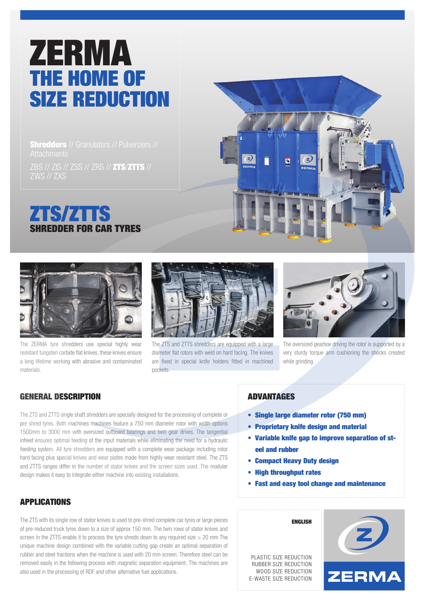# ZERMA THE HOME OF SIZE REDUCTION

**Shredders** // Granulators // Pulverizers //

ZBS // ZIS // ZSS // ZRS // ZTS/ZTTS // ZWS // ZXS

# ZTS/ZTTS SHREDDER FOR CAR TYRES





The ZERMA tyre shredders use special highly wear resistant tungsten carbide flat knives, these knives ensure a long lifetime working with abrasive and contaminated materials.



The ZTS and ZTTS shredders are equipped with a large diameter flat rotors with weld on hard facing. The knives are fixed in special knife holders fitted in machined pockets.



The oversized gearbox driving the rotor is supported by a very sturdy torque arm cushioning the shocks created while grinding.

### GENERAL DESCRIPTION

The ZTS and ZTTS single shaft shredders are specially designed for the processing of complete or pre shred tyres. Both machines machines feature a 750 mm diameter rotor with width options 1500mm to 3000 mm with oversized outboard bearings and twin gear drives. The tangential infeed ensures optimal feeding of the input materials while eliminating the need for a hydraulic feeding system. All tyre shredders are equipped with a complete wear package including rotor hard facing plus special knives and wear plates made from highly wear resistant steel. The ZTS and ZTTS ranges differ in the number of stator knives and the screen sizes used. The modular design makes it easy to integrate either machine into existing installations.

## APPLICATIONS

The ZTS with its single row of stator knives is used to pre-shred complete car tyres or large pieces of pre-reduced truck tyres down to a size of approx 150 mm. The twin rows of stator knives and screen in the ZTTS enable it to process the tyre shreds down to any required size  $> 20$  mm The unique machine design combined with the variable cutting gap create an optimal separation of rubber and steel fractions when the machine is used with 20 mm screen. Therefore steel can be removed easily in the following process with magnetic separation equipment. The machines are also used in the processing of RDF and other alternative fuel applications.

#### ADVANTAGES

- Single large diameter rotor (750 mm)
- Proprietary knife design and material
- Variable knife gap to improve separation of st eel and rubber
- Compact Heavy Duty design
- High throughput rates
- Fast and easy tool change and maintenance